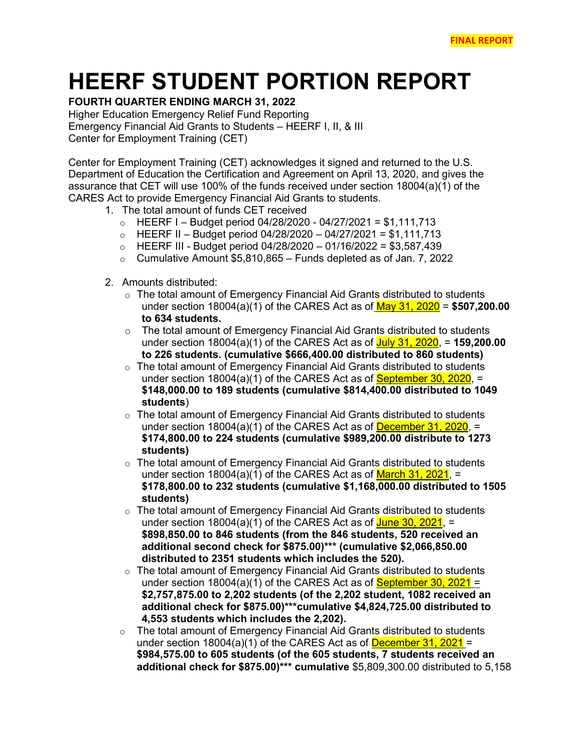## **HEERF STUDENT PORTION REPORT**

## **FOURTH QUARTER ENDING MARCH 31, 2022**

Higher Education Emergency Relief Fund Reporting Emergency Financial Aid Grants to Students – HEERF I, II, & III Center for Employment Training (CET)

Center for Employment Training (CET) acknowledges it signed and returned to the U.S. Department of Education the Certification and Agreement on April 13, 2020, and gives the assurance that CET will use 100% of the funds received under section 18004(a)(1) of the CARES Act to provide Emergency Financial Aid Grants to students.

- 1. The total amount of funds CET received
	- o HEERF I Budget period 04/28/2020 04/27/2021 = \$1,111,713<br>○ HEERF II Budget period 04/28/2020 04/27/2021 = \$1,111,713
	- o HEERF II Budget period 04/28/2020 04/27/2021 = \$1,111,713
	- o HEERF III Budget period 04/28/2020 01/16/2022 = \$3,587,439<br>○ Cumulative Amount \$5,810,865 Funds depleted as of Jan. 7. 202
	- Cumulative Amount  $$5,810,865 -$  Funds depleted as of Jan. 7, 2022
- 2. Amounts distributed:
	- $\circ$  The total amount of Emergency Financial Aid Grants distributed to students under section 18004(a)(1) of the CARES Act as of May 31, 2020 = **\$507,200.00 to 634 students.**
	- $\circ$  The total amount of Emergency Financial Aid Grants distributed to students under section 18004(a)(1) of the CARES Act as of July 31, 2020, = **159,200.00 to 226 students. (cumulative \$666,400.00 distributed to 860 students)**
	- $\circ$  The total amount of Emergency Financial Aid Grants distributed to students under section  $18004(a)(1)$  of the CARES Act as of **September 30, 2020**,  $=$ **\$148,000.00 to 189 students (cumulative \$814,400.00 distributed to 1049 students**)
	- $\circ$  The total amount of Emergency Financial Aid Grants distributed to students under section  $18004(a)(1)$  of the CARES Act as of **December 31, 2020**, = **\$174,800.00 to 224 students (cumulative \$989,200.00 distribute to 1273 students)**
	- $\circ$  The total amount of Emergency Financial Aid Grants distributed to students under section 18004(a)(1) of the CARES Act as of  $March$  31, 2021, = **\$178,800.00 to 232 students (cumulative \$1,168,000.00 distributed to 1505 students)**
	- $\circ$  The total amount of Emergency Financial Aid Grants distributed to students under section  $18004(a)(1)$  of the CARES Act as of June 30, 2021, = **\$898,850.00 to 846 students (from the 846 students, 520 received an additional second check for \$875.00)\*\*\* (cumulative \$2,066,850.00 distributed to 2351 students which includes the 520).**
	- $\circ$  The total amount of Emergency Financial Aid Grants distributed to students under section  $18004(a)(1)$  of the CARES Act as of **September 30, 2021** = **\$2,757,875.00 to 2,202 students (of the 2,202 student, 1082 received an additional check for \$875.00)\*\*\*cumulative \$4,824,725.00 distributed to 4,553 students which includes the 2,202).**
	- $\circ$  The total amount of Emergency Financial Aid Grants distributed to students under section 18004(a)(1) of the CARES Act as of  $December 31, 2021 =$ **\$984,575.00 to 605 students (of the 605 students, 7 students received an additional check for \$875.00)\*\*\* cumulative** \$5,809,300.00 distributed to 5,158